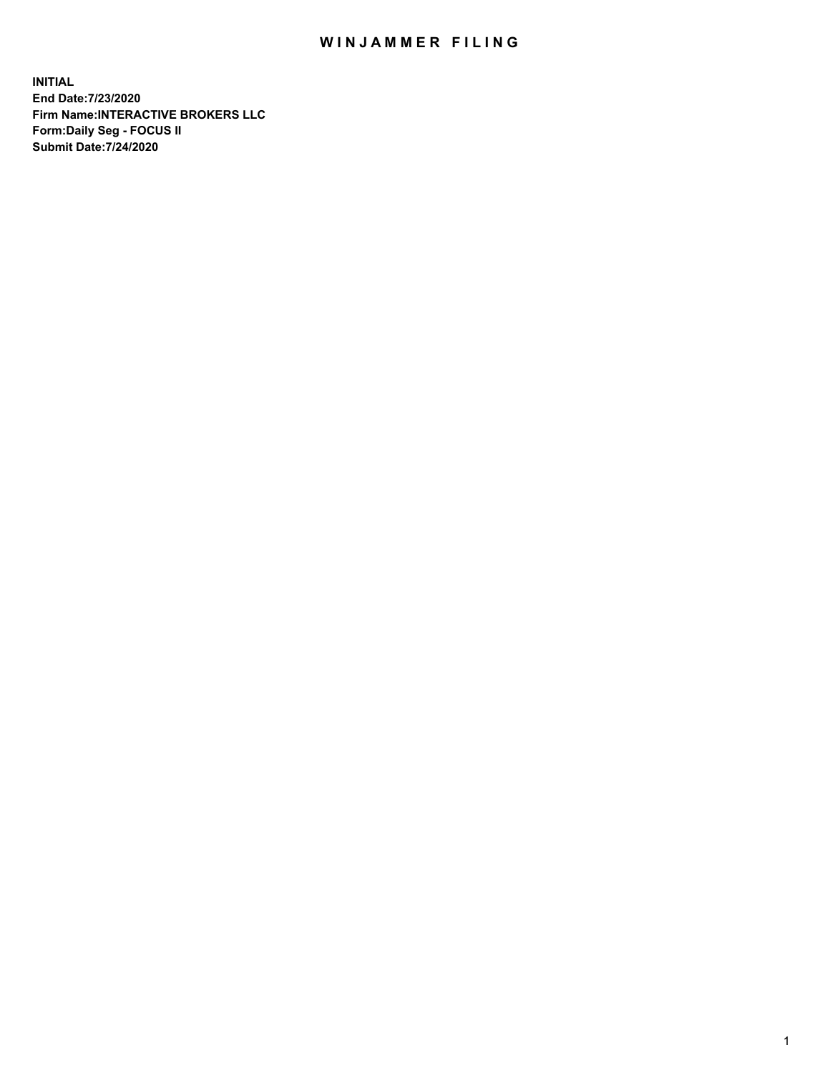## WIN JAMMER FILING

**INITIAL End Date:7/23/2020 Firm Name:INTERACTIVE BROKERS LLC Form:Daily Seg - FOCUS II Submit Date:7/24/2020**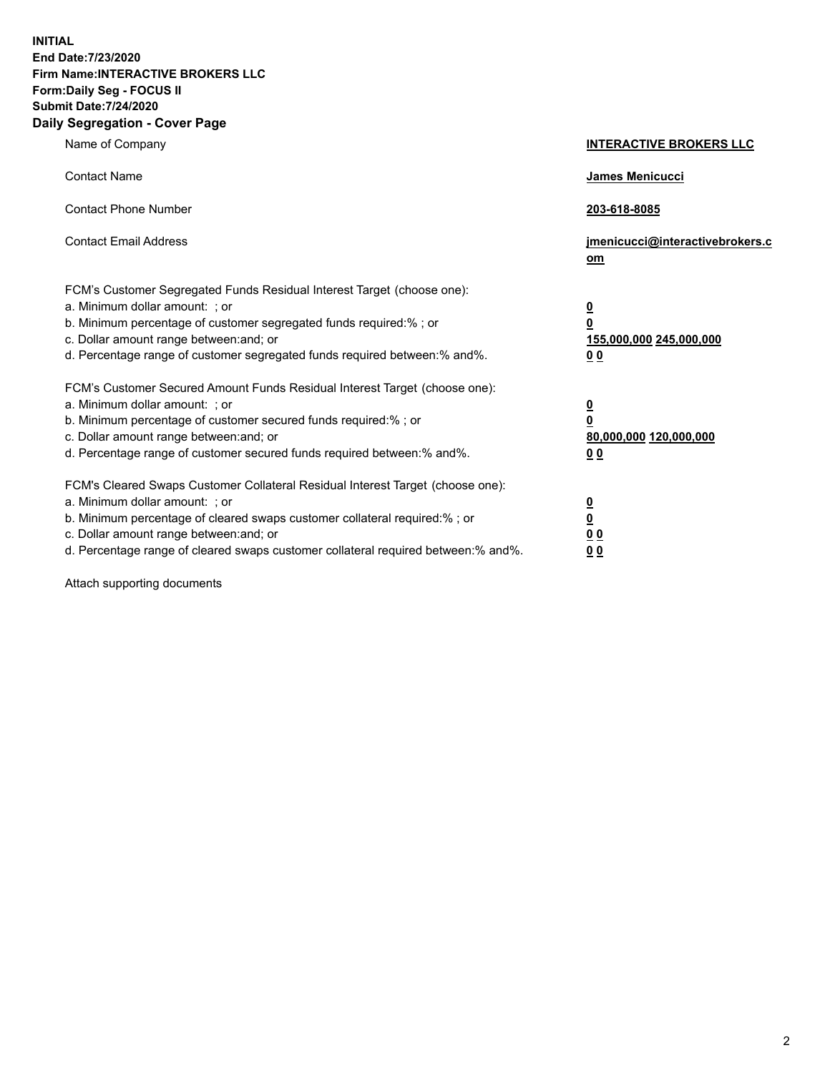**INITIAL End Date:7/23/2020 Firm Name:INTERACTIVE BROKERS LLC Form:Daily Seg - FOCUS II Submit Date:7/24/2020 Daily Segregation - Cover Page**

| Name of Company                                                                                                                                                                                                                                                                                                               | <b>INTERACTIVE BROKERS LLC</b>                                                                  |
|-------------------------------------------------------------------------------------------------------------------------------------------------------------------------------------------------------------------------------------------------------------------------------------------------------------------------------|-------------------------------------------------------------------------------------------------|
| <b>Contact Name</b>                                                                                                                                                                                                                                                                                                           | James Menicucci                                                                                 |
| <b>Contact Phone Number</b>                                                                                                                                                                                                                                                                                                   | 203-618-8085                                                                                    |
| <b>Contact Email Address</b>                                                                                                                                                                                                                                                                                                  | jmenicucci@interactivebrokers.c<br><u>om</u>                                                    |
| FCM's Customer Segregated Funds Residual Interest Target (choose one):<br>a. Minimum dollar amount: ; or<br>b. Minimum percentage of customer segregated funds required:% ; or<br>c. Dollar amount range between: and; or<br>d. Percentage range of customer segregated funds required between:% and%.                        | $\overline{\mathbf{0}}$<br>$\overline{\mathbf{0}}$<br>155,000,000 245,000,000<br>0 <sub>0</sub> |
| FCM's Customer Secured Amount Funds Residual Interest Target (choose one):<br>a. Minimum dollar amount: ; or<br>b. Minimum percentage of customer secured funds required:%; or<br>c. Dollar amount range between: and; or<br>d. Percentage range of customer secured funds required between:% and%.                           | $\overline{\mathbf{0}}$<br>$\overline{\mathbf{0}}$<br>80,000,000 120,000,000<br>0 <sub>0</sub>  |
| FCM's Cleared Swaps Customer Collateral Residual Interest Target (choose one):<br>a. Minimum dollar amount: ; or<br>b. Minimum percentage of cleared swaps customer collateral required:%; or<br>c. Dollar amount range between: and; or<br>d. Percentage range of cleared swaps customer collateral required between:% and%. | $\overline{\mathbf{0}}$<br>$\overline{\mathbf{0}}$<br>0 <sub>0</sub><br>0 <sub>0</sub>          |

Attach supporting documents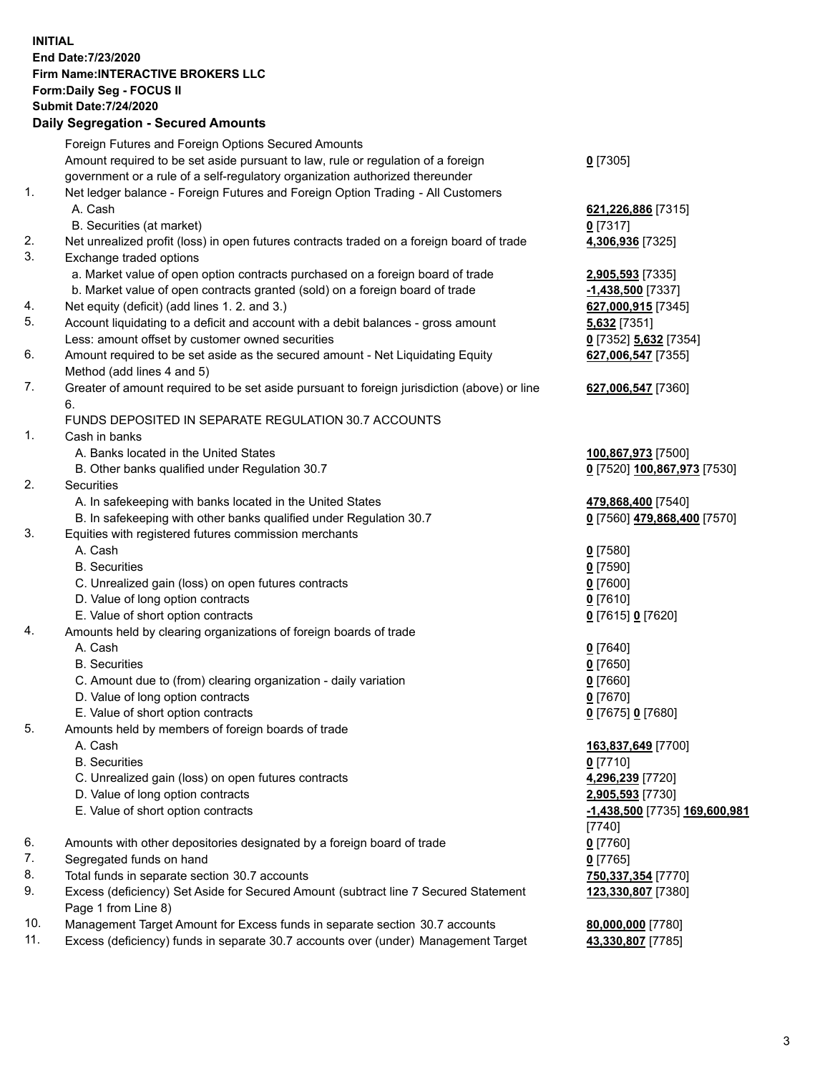**INITIAL End Date:7/23/2020 Firm Name:INTERACTIVE BROKERS LLC Form:Daily Seg - FOCUS II Submit Date:7/24/2020 Daily Segregation - Secured Amounts**

|     | Daily Segregation - Secured Amounts                                                                        |                               |
|-----|------------------------------------------------------------------------------------------------------------|-------------------------------|
|     | Foreign Futures and Foreign Options Secured Amounts                                                        |                               |
|     | Amount required to be set aside pursuant to law, rule or regulation of a foreign                           | $0$ [7305]                    |
|     | government or a rule of a self-regulatory organization authorized thereunder                               |                               |
| 1.  | Net ledger balance - Foreign Futures and Foreign Option Trading - All Customers                            |                               |
|     | A. Cash                                                                                                    | 621,226,886 [7315]            |
|     | B. Securities (at market)                                                                                  | $0$ [7317]                    |
| 2.  | Net unrealized profit (loss) in open futures contracts traded on a foreign board of trade                  | 4,306,936 [7325]              |
| 3.  | Exchange traded options                                                                                    |                               |
|     | a. Market value of open option contracts purchased on a foreign board of trade                             | 2,905,593 [7335]              |
|     | b. Market value of open contracts granted (sold) on a foreign board of trade                               | $-1,438,500$ [7337]           |
| 4.  | Net equity (deficit) (add lines 1. 2. and 3.)                                                              | 627,000,915 [7345]            |
| 5.  | Account liquidating to a deficit and account with a debit balances - gross amount                          | 5,632 [7351]                  |
|     | Less: amount offset by customer owned securities                                                           | 0 [7352] 5,632 [7354]         |
| 6.  | Amount required to be set aside as the secured amount - Net Liquidating Equity                             | 627,006,547 [7355]            |
|     | Method (add lines 4 and 5)                                                                                 |                               |
| 7.  | Greater of amount required to be set aside pursuant to foreign jurisdiction (above) or line                | 627,006,547 [7360]            |
|     | 6.                                                                                                         |                               |
|     | FUNDS DEPOSITED IN SEPARATE REGULATION 30.7 ACCOUNTS                                                       |                               |
| 1.  | Cash in banks                                                                                              |                               |
|     | A. Banks located in the United States                                                                      | 100,867,973 [7500]            |
|     | B. Other banks qualified under Regulation 30.7                                                             | 0 [7520] 100,867,973 [7530]   |
| 2.  | Securities                                                                                                 |                               |
|     | A. In safekeeping with banks located in the United States                                                  | 479,868,400 [7540]            |
|     | B. In safekeeping with other banks qualified under Regulation 30.7                                         | 0 [7560] 479,868,400 [7570]   |
| 3.  | Equities with registered futures commission merchants                                                      |                               |
|     | A. Cash                                                                                                    | $0$ [7580]                    |
|     | <b>B.</b> Securities                                                                                       | $0$ [7590]                    |
|     | C. Unrealized gain (loss) on open futures contracts                                                        | $0$ [7600]                    |
|     | D. Value of long option contracts                                                                          | $0$ [7610]                    |
|     | E. Value of short option contracts                                                                         | 0 [7615] 0 [7620]             |
| 4.  | Amounts held by clearing organizations of foreign boards of trade                                          |                               |
|     | A. Cash                                                                                                    | $0$ [7640]                    |
|     | <b>B.</b> Securities                                                                                       | $0$ [7650]                    |
|     | C. Amount due to (from) clearing organization - daily variation                                            | $0$ [7660]                    |
|     | D. Value of long option contracts                                                                          | $0$ [7670]                    |
|     | E. Value of short option contracts                                                                         | 0 [7675] 0 [7680]             |
| 5.  | Amounts held by members of foreign boards of trade                                                         |                               |
|     | A. Cash                                                                                                    | 163,837,649 [7700]            |
|     | <b>B.</b> Securities                                                                                       | $0$ [7710]                    |
|     | C. Unrealized gain (loss) on open futures contracts                                                        | 4,296,239 [7720]              |
|     | D. Value of long option contracts                                                                          | 2,905,593 [7730]              |
|     | E. Value of short option contracts                                                                         | -1,438,500 [7735] 169,600,981 |
|     |                                                                                                            | [7740]                        |
| 6.  | Amounts with other depositories designated by a foreign board of trade                                     | $0$ [7760]                    |
| 7.  | Segregated funds on hand                                                                                   | $0$ [7765]                    |
| 8.  | Total funds in separate section 30.7 accounts                                                              | 750,337,354 [7770]            |
| 9.  | Excess (deficiency) Set Aside for Secured Amount (subtract line 7 Secured Statement<br>Page 1 from Line 8) | 123,330,807 [7380]            |
| 10. | Management Target Amount for Excess funds in separate section 30.7 accounts                                | 80,000,000 [7780]             |
| 11. | Excess (deficiency) funds in separate 30.7 accounts over (under) Management Target                         | 43,330,807 [7785]             |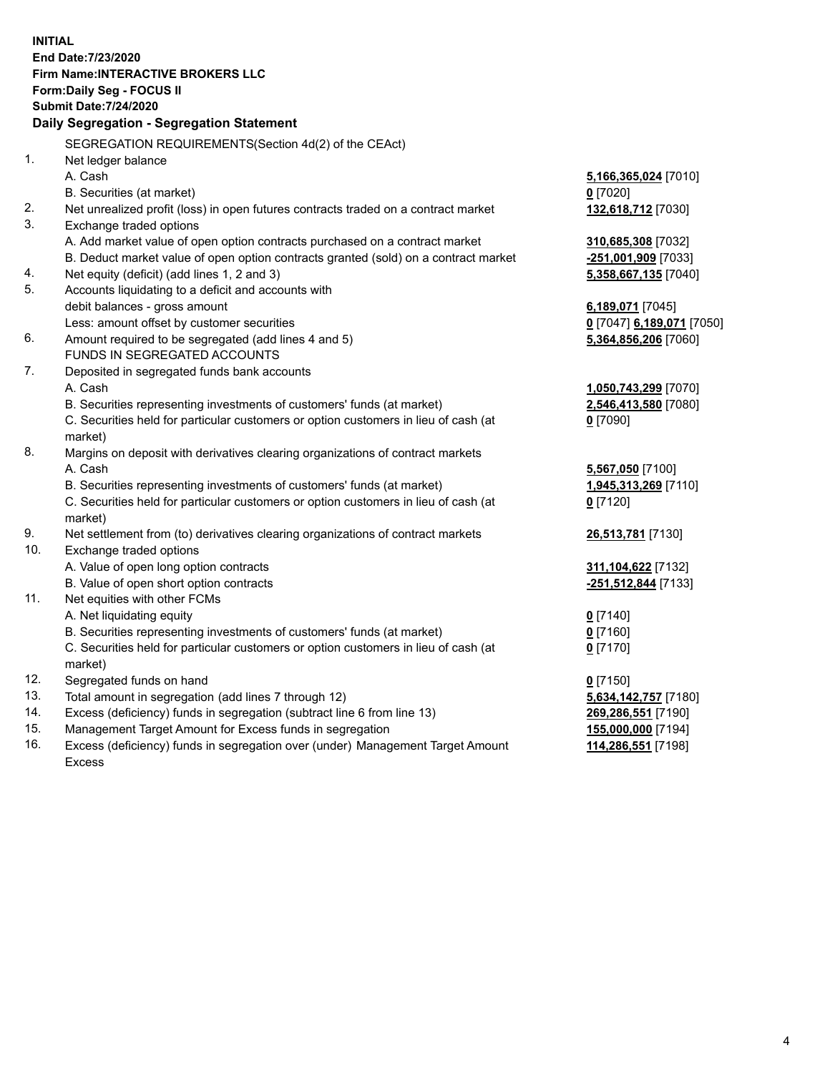**INITIAL End Date:7/23/2020 Firm Name:INTERACTIVE BROKERS LLC Form:Daily Seg - FOCUS II Submit Date:7/24/2020 Daily Segregation - Segregation Statement** SEGREGATION REQUIREMENTS(Section 4d(2) of the CEAct) 1. Net ledger balance A. Cash **5,166,365,024** [7010] B. Securities (at market) **0** [7020] 2. Net unrealized profit (loss) in open futures contracts traded on a contract market **132,618,712** [7030] 3. Exchange traded options A. Add market value of open option contracts purchased on a contract market **310,685,308** [7032] B. Deduct market value of open option contracts granted (sold) on a contract market **-251,001,909** [7033] 4. Net equity (deficit) (add lines 1, 2 and 3) **5,358,667,135** [7040] 5. Accounts liquidating to a deficit and accounts with debit balances - gross amount **6,189,071** [7045] Less: amount offset by customer securities **0** [7047] **6,189,071** [7050] 6. Amount required to be segregated (add lines 4 and 5) **5,364,856,206** [7060] FUNDS IN SEGREGATED ACCOUNTS 7. Deposited in segregated funds bank accounts A. Cash **1,050,743,299** [7070] B. Securities representing investments of customers' funds (at market) **2,546,413,580** [7080] C. Securities held for particular customers or option customers in lieu of cash (at market) **0** [7090] 8. Margins on deposit with derivatives clearing organizations of contract markets A. Cash **5,567,050** [7100] B. Securities representing investments of customers' funds (at market) **1,945,313,269** [7110] C. Securities held for particular customers or option customers in lieu of cash (at market) **0** [7120] 9. Net settlement from (to) derivatives clearing organizations of contract markets **26,513,781** [7130] 10. Exchange traded options A. Value of open long option contracts **311,104,622** [7132] B. Value of open short option contracts **-251,512,844** [7133] 11. Net equities with other FCMs A. Net liquidating equity **0** [7140] B. Securities representing investments of customers' funds (at market) **0** [7160] C. Securities held for particular customers or option customers in lieu of cash (at market) **0** [7170] 12. Segregated funds on hand **0** [7150] 13. Total amount in segregation (add lines 7 through 12) **5,634,142,757** [7180] 14. Excess (deficiency) funds in segregation (subtract line 6 from line 13) **269,286,551** [7190] 15. Management Target Amount for Excess funds in segregation **155,000,000** [7194] 16. Excess (deficiency) funds in segregation over (under) Management Target Amount Excess **114,286,551** [7198]